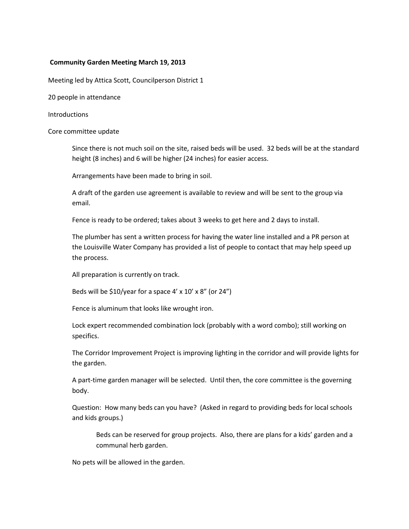# **Community Garden Meeting March 19, 2013**

Meeting led by Attica Scott, Councilperson District 1

20 people in attendance

#### Introductions

#### Core committee update

Since there is not much soil on the site, raised beds will be used. 32 beds will be at the standard height (8 inches) and 6 will be higher (24 inches) for easier access.

Arrangements have been made to bring in soil.

A draft of the garden use agreement is available to review and will be sent to the group via email.

Fence is ready to be ordered; takes about 3 weeks to get here and 2 days to install.

The plumber has sent a written process for having the water line installed and a PR person at the Louisville Water Company has provided a list of people to contact that may help speed up the process.

All preparation is currently on track.

Beds will be  $$10/year$  for a space 4' x 10' x 8" (or 24")

Fence is aluminum that looks like wrought iron.

Lock expert recommended combination lock (probably with a word combo); still working on specifics.

The Corridor Improvement Project is improving lighting in the corridor and will provide lights for the garden.

A part-time garden manager will be selected. Until then, the core committee is the governing body.

Question: How many beds can you have? (Asked in regard to providing beds for local schools and kids groups.)

Beds can be reserved for group projects. Also, there are plans for a kids' garden and a communal herb garden.

No pets will be allowed in the garden.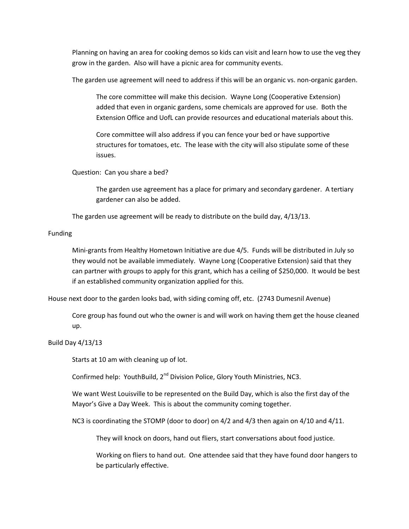Planning on having an area for cooking demos so kids can visit and learn how to use the veg they grow in the garden. Also will have a picnic area for community events.

The garden use agreement will need to address if this will be an organic vs. non-organic garden.

The core committee will make this decision. Wayne Long (Cooperative Extension) added that even in organic gardens, some chemicals are approved for use. Both the Extension Office and UofL can provide resources and educational materials about this.

Core committee will also address if you can fence your bed or have supportive structures for tomatoes, etc. The lease with the city will also stipulate some of these issues.

Question: Can you share a bed?

The garden use agreement has a place for primary and secondary gardener. A tertiary gardener can also be added.

The garden use agreement will be ready to distribute on the build day, 4/13/13.

# Funding

Mini-grants from Healthy Hometown Initiative are due 4/5. Funds will be distributed in July so they would not be available immediately. Wayne Long (Cooperative Extension) said that they can partner with groups to apply for this grant, which has a ceiling of \$250,000. It would be best if an established community organization applied for this.

House next door to the garden looks bad, with siding coming off, etc. (2743 Dumesnil Avenue)

Core group has found out who the owner is and will work on having them get the house cleaned up.

## Build Day 4/13/13

Starts at 10 am with cleaning up of lot.

Confirmed help: YouthBuild, 2<sup>nd</sup> Division Police, Glory Youth Ministries, NC3.

We want West Louisville to be represented on the Build Day, which is also the first day of the Mayor's Give a Day Week. This is about the community coming together.

NC3 is coordinating the STOMP (door to door) on 4/2 and 4/3 then again on 4/10 and 4/11.

They will knock on doors, hand out fliers, start conversations about food justice.

Working on fliers to hand out. One attendee said that they have found door hangers to be particularly effective.